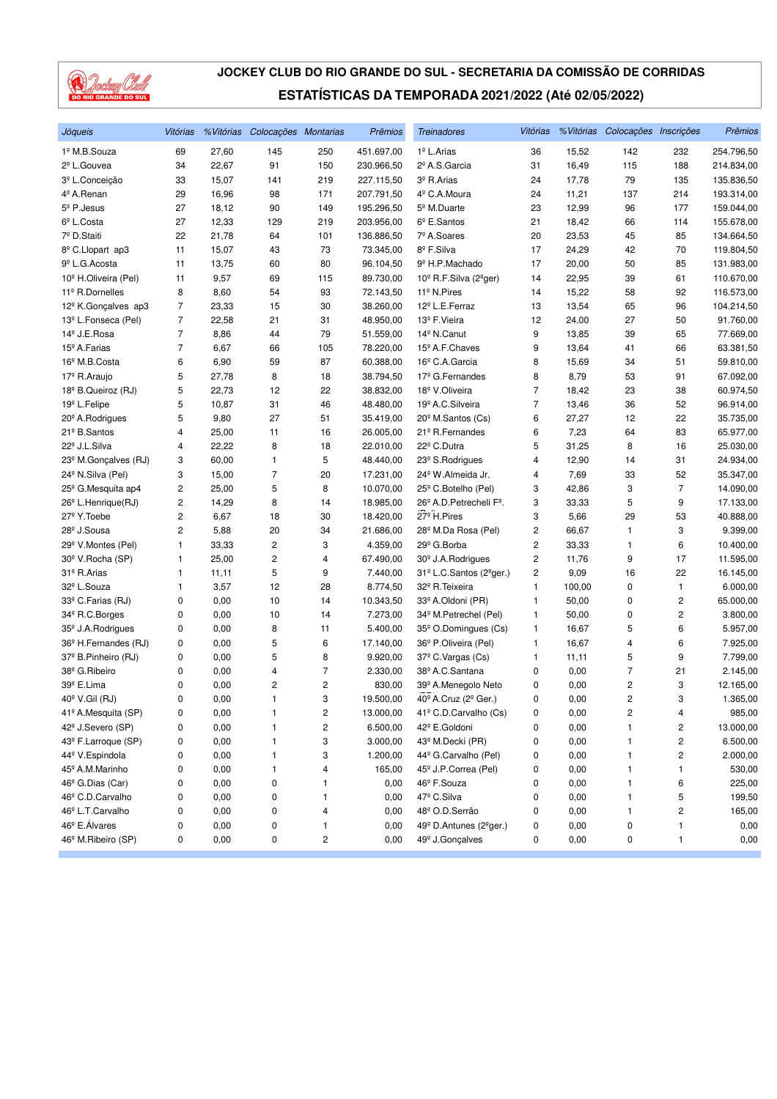

| Jóqueis                          | Vitórias |       | % Vitórias Colocações Montarias |     | Prêmios    | <b>Treinadores</b>                             | Vitórias |        | % Vitórias Colocações Inscrições |                         | Prêmios    |
|----------------------------------|----------|-------|---------------------------------|-----|------------|------------------------------------------------|----------|--------|----------------------------------|-------------------------|------------|
| 1º M.B.Souza                     | 69       | 27,60 | 145                             | 250 | 451.697,00 | 1 <sup>º</sup> L.Arias                         | 36       | 15,52  | 142                              | 232                     | 254.796,50 |
| 2 <sup>º</sup> L.Gouvea          | 34       | 22,67 | 91                              | 150 | 230.966,50 | 2º A.S.Garcia                                  | 31       | 16,49  | 115                              | 188                     | 214.834,00 |
| 3º L.Conceição                   | 33       | 15,07 | 141                             | 219 | 227.115,50 | 3º R.Arias                                     | 24       | 17,78  | 79                               | 135                     | 135.836,50 |
| 4º A.Renan                       | 29       | 16,96 | 98                              | 171 | 207.791,50 | 4 <sup>º</sup> C.A.Moura                       | 24       | 11,21  | 137                              | 214                     | 193.314,00 |
| $5^{\circ}$ P. Jesus             | 27       | 18,12 | 90                              | 149 | 195.296,50 | 5 <sup>º</sup> M.Duarte                        | 23       | 12,99  | 96                               | 177                     | 159.044,00 |
| 6 <sup>°</sup> L.Costa           | 27       | 12,33 | 129                             | 219 | 203.956,00 | $6^{\circ}$ E.Santos                           | 21       | 18,42  | 66                               | 114                     | 155.678,00 |
| 7º D.Staiti                      | 22       | 21,78 | 64                              | 101 | 136.886,50 | 7º A.Soares                                    | 20       | 23,53  | 45                               | 85                      | 134.664,50 |
| 8 <sup>º</sup> C.Llopart ap3     | 11       | 15,07 | 43                              | 73  | 73.345,00  | 8º F.Silva                                     | 17       | 24,29  | 42                               | 70                      | 119.804,50 |
| 9 <sup>º</sup> L.G. Acosta       | 11       | 13,75 | 60                              | 80  | 96.104,50  | 9º H.P.Machado                                 | 17       | 20,00  | 50                               | 85                      | 131.983,00 |
| 10 <sup>°</sup> H.Oliveira (Pel) | 11       | 9,57  | 69                              | 115 | 89.730,00  | 10 <sup>°</sup> R.F.Silva (2 <sup>°</sup> ger) | 14       | 22,95  | 39                               | 61                      | 110.670,00 |
| 11º R.Dornelles                  | 8        | 8,60  | 54                              | 93  | 72.143,50  | 11 <sup>º</sup> N.Pires                        | 14       | 15,22  | 58                               | 92                      | 116.573,00 |
| 12 <sup>º</sup> K.Gonçalves ap3  | 7        | 23,33 | 15                              | 30  | 38.260,00  | 12 <sup>º</sup> L.E.Ferraz                     | 13       | 13,54  | 65                               | 96                      | 104.214,50 |
| 13º L.Fonseca (Pel)              | 7        | 22,58 | 21                              | 31  | 48.950,00  | 13º F. Vieira                                  | 12       | 24,00  | 27                               | 50                      | 91.760,00  |
| 14º J.E.Rosa                     | 7        | 8,86  | 44                              | 79  | 51.559,00  | 14 <sup>º</sup> N.Canut                        | 9        | 13,85  | 39                               | 65                      | 77.669,00  |
| 15 <sup>º</sup> A.Farias         | 7        | 6,67  | 66                              | 105 | 78.220,00  | 15 <sup>°</sup> A.F.Chaves                     | 9        | 13,64  | 41                               | 66                      | 63.381,50  |
| 16 <sup>°</sup> M.B.Costa        | 6        | 6,90  | 59                              | 87  | 60.388,00  | 16 <sup>°</sup> C.A.Garcia                     | 8        | 15,69  | 34                               | 51                      | 59.810,00  |
| 17º R.Araujo                     | 5        | 27,78 | 8                               | 18  | 38.794,50  | 17 <sup>º</sup> G.Fernandes                    | 8        | 8,79   | 53                               | 91                      | 67.092,00  |
| 18 <sup>°</sup> B.Queiroz (RJ)   | 5        | 22,73 | 12                              | 22  | 38.832,00  | 18º V.Oliveira                                 | 7        | 18,42  | 23                               | 38                      | 60.974,50  |
| 19 <sup>º</sup> L.Felipe         | 5        | 10,87 | 31                              | 46  | 48.480,00  | 19 <sup>º</sup> A.C. Silveira                  | 7        | 13,46  | 36                               | 52                      | 96.914,00  |
| 20 <sup>°</sup> A. Rodrigues     | 5        | 9,80  | 27                              | 51  | 35.419,00  | 20 <sup>°</sup> M.Santos (Cs)                  | 6        | 27,27  | 12                               | 22                      | 35.735,00  |
| 21º B.Santos                     | 4        | 25,00 | 11                              | 16  | 26.005,00  | 21 <sup>º</sup> R.Fernandes                    | 6        | 7,23   | 64                               | 83                      | 65.977,00  |
| 22 <sup>°</sup> J.L.Silva        | 4        | 22,22 | 8                               | 18  | 22.010,00  | 22º C.Dutra                                    | 5        | 31,25  | 8                                | 16                      | 25.030,00  |
| 23º M.Gonçalves (RJ)             | 3        | 60,00 | 1                               | 5   | 48.440,00  | 23 <sup>°</sup> S.Rodrigues                    | 4        | 12,90  | 14                               | 31                      | 24.934,00  |
| 24 <sup>°</sup> N.Silva (Pel)    | 3        | 15,00 | 7                               | 20  | 17.231,00  | 24 <sup>°</sup> W.Almeida Jr.                  | 4        | 7,69   | 33                               | 52                      | 35.347,00  |
| 25 <sup>°</sup> G.Mesquita ap4   | 2        | 25,00 | 5                               | 8   | 10.070,00  | 25 <sup>°</sup> C.Botelho (Pel)                | 3        | 42,86  | 3                                | $\overline{7}$          | 14.090,00  |
| 26 <sup>°</sup> L.Henrique(RJ)   | 2        | 14,29 | 8                               | 14  | 18.985,00  | 26º A.D. Petrecheli Fº.                        | 3        | 33,33  | 5                                | 9                       | 17.133,00  |
| 27 <sup>º</sup> Y.Toebe          | 2        | 6,67  | 18                              | 30  | 18.420,00  | 27 <sup>º</sup> H.Pires                        | 3        | 5,66   | 29                               | 53                      | 40.888,00  |
| 28 <sup>°</sup> J.Sousa          | 2        | 5,88  | 20                              | 34  | 21.686,00  | 28 <sup>°</sup> M.Da Rosa (Pel)                | 2        | 66,67  | 1                                | 3                       | 9.399,00   |
| 29 <sup>°</sup> V.Montes (Pel)   | 1        | 33,33 | 2                               | 3   | 4.359,00   | 29 <sup>°</sup> G.Borba                        | 2        | 33,33  | 1                                | 6                       | 10.400,00  |
| 30 <sup>°</sup> V.Rocha (SP)     | 1        | 25,00 | $\overline{c}$                  | 4   | 67.490,00  | 30 <sup>°</sup> J.A.Rodrigues                  | 2        | 11,76  | 9                                | 17                      | 11.595,00  |
| 31º R.Arias                      | 1        | 11,11 | 5                               | 9   | 7.440,00   | 31º L.C.Santos (2ºger.)                        | 2        | 9,09   | 16                               | 22                      | 16.145,00  |
| 32 <sup>º</sup> L.Souza          | 1        | 3,57  | 12                              | 28  | 8.774,50   | 32º R. Teixeira                                | 1        | 100,00 | 0                                | $\mathbf{1}$            | 6.000,00   |
| 33º C.Farias (RJ)                | 0        | 0,00  | 10                              | 14  | 10.343,50  | 33º A.Oldoni (PR)                              | 1        | 50,00  | 0                                | 2                       | 65.000,00  |
| 34 <sup>°</sup> R.C.Borges       | 0        | 0,00  | 10                              | 14  | 7.273,00   | 34 <sup>°</sup> M.Petrechel (Pel)              | 1        | 50,00  | 0                                | 2                       | 3.800,00   |
| 35 <sup>°</sup> J.A.Rodrigues    | 0        | 0,00  | 8                               | 11  | 5.400,00   | 35 <sup>°</sup> O.Domingues (Cs)               | 1        | 16,67  | 5                                | 6                       | 5.957,00   |
| 36 <sup>°</sup> H.Fernandes (RJ) | 0        | 0,00  | 5                               | 6   | 17.140,00  | 36 <sup>°</sup> P.Oliveira (Pel)               | 1        | 16,67  | 4                                | 6                       | 7.925,00   |
| 37º B.Pinheiro (RJ)              | 0        | 0,00  | 5                               | 8   | 9.920,00   | 37º C.Vargas (Cs)                              | 1        | 11,11  | 5                                | 9                       | 7.799,00   |
| 38º G.Ribeiro                    | 0        | 0,00  | 4                               | 7   | 2.330,00   | 38º A.C.Santana                                | 0        | 0,00   | 7                                | 21                      | 2.145,00   |
| 39º E.Lima                       | 0        | 0,00  | 2                               | 2   | 830,00     | 39º A.Menegolo Neto                            | 0        | 0,00   | 2                                | 3                       | 12.165,00  |
| 40° V.Gil (RJ)                   | 0        | 0,00  | 1                               | 3   | 19.500,00  | 40 <sup>°</sup> A.Cruz (2 <sup>°</sup> Ger.)   | 0        | 0,00   | $\overline{c}$                   | 3                       | 1.365,00   |
| 41º A.Mesquita (SP)              | 0        | 0,00  | 1                               | 2   | 13.000,00  | 41º C.D.Carvalho (Cs)                          | 0        | 0,00   | 2                                | 4                       | 985,00     |
| 42 <sup>°</sup> J.Severo (SP)    | 0        | 0,00  | 1                               | 2   | 6.500,00   | 42º E.Goldoni                                  | 0        | 0,00   | 1                                | $\overline{\mathbf{c}}$ | 13.000,00  |
| 43º F.Larroque (SP)              | 0        | 0,00  | 1                               | 3   | 3.000,00   | 43º M.Decki (PR)                               | 0        | 0,00   | 1                                | 2                       | 6.500,00   |
| 44 <sup>º</sup> V.Espindola      | 0        | 0,00  | 1                               | 3   | 1.200,00   | 44 <sup>°</sup> G.Carvalho (Pel)               | 0        | 0,00   | 1                                | 2                       | 2.000,00   |
| 45 <sup>°</sup> A.M.Marinho      | 0        | 0,00  | 1                               | 4   | 165,00     | 45 <sup>°</sup> J.P.Correa (Pel)               | 0        | 0,00   | 1                                | $\mathbf{1}$            | 530,00     |
| 46 <sup>°</sup> G.Dias (Car)     | 0        | 0,00  | 0                               | 1   | 0,00       | 46º F.Souza                                    | 0        | 0,00   | 1                                | 6                       | 225,00     |
| 46º C.D.Carvalho                 | 0        | 0,00  | 0                               | 1   | 0,00       | 47º C.Silva                                    | 0        | 0,00   | 1                                | 5                       | 199,50     |
| 46º L.T.Carvalho                 | 0        | 0,00  | 0                               | 4   | 0,00       | 48º O.D.Serrão                                 | 0        | 0,00   | 1                                | 2                       | 165,00     |
| 46 <sup>°</sup> E. Álvares       | 0        | 0,00  | 0                               | 1   | 0,00       | 49º D.Antunes (2ºger.)                         | 0        | 0,00   | 0                                | $\mathbf{1}$            | 0,00       |
| 46 <sup>°</sup> M.Ribeiro (SP)   | 0        | 0,00  | 0                               | 2   | 0,00       | 49 <sup>°</sup> J.Gonçalves                    | 0        | 0,00   | 0                                | 1                       | 0,00       |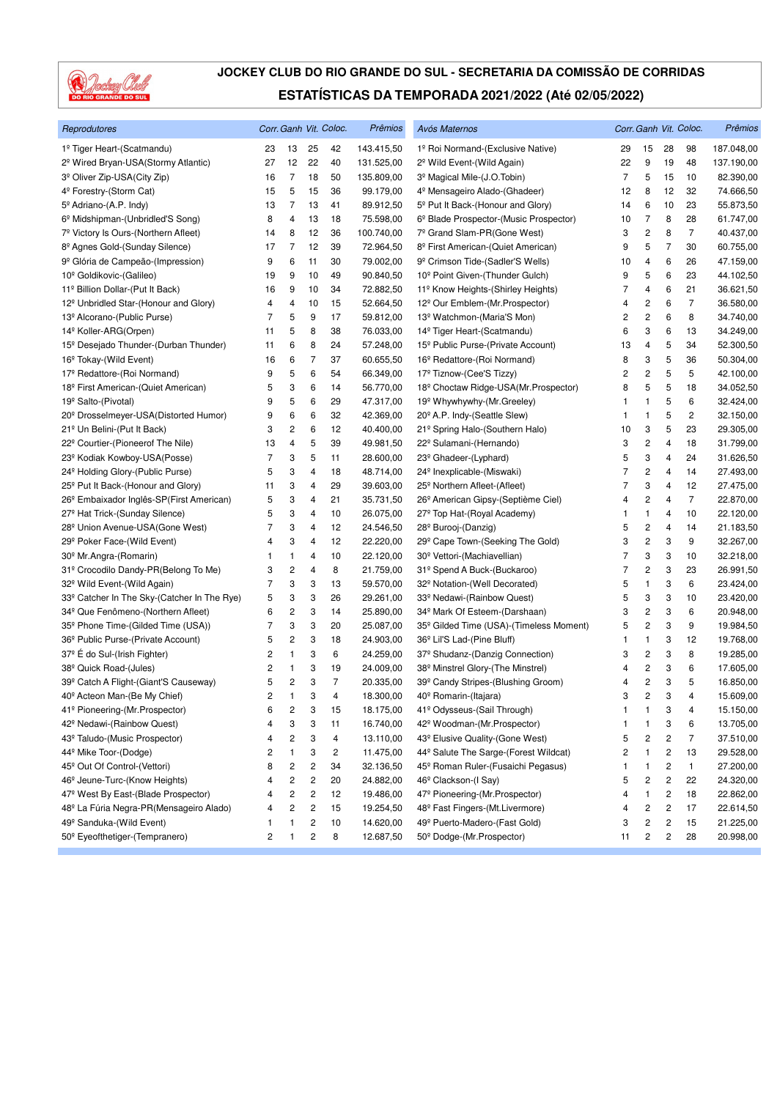

| Reprodutores                                         |                |                         |    | Corr. Ganh Vit. Coloc. | Prêmios    | Avós Maternos                                       |                |                         |                         | Corr. Ganh Vit. Coloc. | Prêmios    |
|------------------------------------------------------|----------------|-------------------------|----|------------------------|------------|-----------------------------------------------------|----------------|-------------------------|-------------------------|------------------------|------------|
| 1º Tiger Heart-(Scatmandu)                           | 23             | 13                      | 25 | 42                     | 143.415,50 | 1º Roi Normand-(Exclusive Native)                   | 29             | 15                      | 28                      | 98                     | 187.048,00 |
| 2 <sup>º</sup> Wired Bryan-USA(Stormy Atlantic)      | 27             | 12                      | 22 | 40                     | 131.525,00 | 2º Wild Event-(Wild Again)                          | 22             | 9                       | 19                      | 48                     | 137.190,00 |
| 3 <sup>º</sup> Oliver Zip-USA(City Zip)              | 16             | $\overline{7}$          | 18 | 50                     | 135.809,00 | 3º Magical Mile-(J.O.Tobin)                         | $\overline{7}$ | 5                       | 15                      | 10                     | 82.390,00  |
| 4 <sup>º</sup> Forestry-(Storm Cat)                  | 15             | 5                       | 15 | 36                     | 99.179,00  | 4 <sup>º</sup> Mensageiro Alado-(Ghadeer)           | 12             | 8                       | 12                      | 32                     | 74.666,50  |
| 5º Adriano-(A.P. Indy)                               | 13             | 7                       | 13 | 41                     | 89.912,50  | 5 <sup>°</sup> Put It Back-(Honour and Glory)       | 14             | 6                       | 10                      | 23                     | 55.873,50  |
| 6 <sup>°</sup> Midshipman-(Unbridled'S Song)         | 8              | 4                       | 13 | 18                     | 75.598,00  | 6º Blade Prospector-(Music Prospector)              | 10             | $\overline{7}$          | 8                       | 28                     | 61.747,00  |
| 7º Victory Is Ours-(Northern Afleet)                 | 14             | 8                       | 12 | 36                     | 100.740,00 | 7º Grand Slam-PR(Gone West)                         | 3              | $\overline{c}$          | 8                       | $\overline{7}$         | 40.437,00  |
| 8º Agnes Gold-(Sunday Silence)                       | 17             | 7                       | 12 | 39                     | 72.964,50  | 8º First American-(Quiet American)                  | 9              | 5                       | $\overline{7}$          | 30                     | 60.755,00  |
| 9 <sup>º</sup> Glória de Campeão-(Impression)        | 9              | 6                       | 11 | 30                     | 79.002,00  | 9 <sup>º</sup> Crimson Tide-(Sadler'S Wells)        | 10             | 4                       | 6                       | 26                     | 47.159,00  |
| 10 <sup>°</sup> Goldikovic-(Galileo)                 | 19             | 9                       | 10 | 49                     | 90.840,50  | 10 <sup>°</sup> Point Given-(Thunder Gulch)         | 9              | 5                       | 6                       | 23                     | 44.102,50  |
| 11º Billion Dollar-(Put It Back)                     | 16             | 9                       | 10 | 34                     | 72.882,50  | 11º Know Heights-(Shirley Heights)                  | 7              | 4                       | 6                       | 21                     | 36.621,50  |
| 12 <sup>°</sup> Unbridled Star-(Honour and Glory)    | 4              | 4                       | 10 | 15                     | 52.664,50  | 12º Our Emblem-(Mr. Prospector)                     | 4              | 2                       | 6                       | $\overline{7}$         | 36.580,00  |
| 13º Alcorano-(Public Purse)                          | 7              | 5                       | 9  | 17                     | 59.812,00  | 13º Watchmon-(Maria'S Mon)                          | 2              | $\overline{\mathbf{c}}$ | 6                       | 8                      | 34.740,00  |
| 14 <sup>º</sup> Koller-ARG(Orpen)                    | 11             | 5                       | 8  | 38                     | 76.033,00  | 14 <sup>º</sup> Tiger Heart-(Scatmandu)             | 6              | 3                       | 6                       | 13                     | 34.249,00  |
| 15 <sup>°</sup> Desejado Thunder-(Durban Thunder)    | 11             | 6                       | 8  | 24                     | 57.248,00  | 15 <sup>°</sup> Public Purse-(Private Account)      | 13             | 4                       | 5                       | 34                     | 52.300,50  |
| 16 <sup>°</sup> Tokay-(Wild Event)                   | 16             | 6                       | 7  | 37                     | 60.655,50  | 16 <sup>°</sup> Redattore-(Roi Normand)             | 8              | 3                       | 5                       | 36                     | 50.304,00  |
| 17 <sup>º</sup> Redattore-(Roi Normand)              | 9              | 5                       | 6  | 54                     | 66.349,00  | 17º Tiznow-(Cee'S Tizzy)                            | 2              | 2                       | 5                       | 5                      | 42.100,00  |
| 18 <sup>°</sup> First American-(Quiet American)      | 5              | 3                       | 6  | 14                     | 56.770,00  | 18º Choctaw Ridge-USA(Mr.Prospector)                | 8              | 5                       | 5                       | 18                     | 34.052,50  |
| 19 <sup>º</sup> Salto-(Pivotal)                      | 9              | 5                       | 6  | 29                     | 47.317,00  | 19 <sup>°</sup> Whywhywhy-(Mr.Greeley)              | 1              | 1                       | 5                       | 6                      | 32.424,00  |
| 20 <sup>°</sup> Drosselmeyer-USA(Distorted Humor)    | 9              | 6                       | 6  | 32                     | 42.369,00  | 20 <sup>°</sup> A.P. Indy-(Seattle Slew)            | 1              | 1                       | 5                       | 2                      | 32.150,00  |
| 21º Un Belini-(Put It Back)                          | 3              | 2                       | 6  | 12                     | 40.400,00  | 21º Spring Halo-(Southern Halo)                     | 10             | 3                       | 5                       | 23                     | 29.305,00  |
| 22º Courtier-(Pioneerof The Nile)                    | 13             | 4                       | 5  | 39                     | 49.981,50  | 22º Sulamani-(Hernando)                             | 3              | $\overline{c}$          | 4                       | 18                     | 31.799,00  |
| 23º Kodiak Kowboy-USA(Posse)                         | 7              | 3                       | 5  | 11                     | 28.600,00  | 23 <sup>°</sup> Ghadeer-(Lyphard)                   | 5              | 3                       | 4                       | 24                     | 31.626,50  |
| 24 <sup>°</sup> Holding Glory-(Public Purse)         | 5              | 3                       | 4  | 18                     | 48.714,00  | 24 <sup>°</sup> Inexplicable-(Miswaki)              | 7              | 2                       | 4                       | 14                     | 27.493,00  |
| 25 <sup>°</sup> Put It Back-(Honour and Glory)       | 11             | 3                       | 4  | 29                     | 39.603,00  | 25 <sup>°</sup> Northern Afleet-(Afleet)            | 7              | 3                       | 4                       | 12                     | 27.475,00  |
| 26 <sup>°</sup> Embaixador Inglês-SP(First American) | 5              | 3                       | 4  | 21                     | 35.731,50  | 26 <sup>°</sup> American Gipsy-(Septième Ciel)      | 4              | $\overline{\mathbf{c}}$ | 4                       | $\overline{7}$         | 22.870,00  |
| 27 <sup>°</sup> Hat Trick-(Sunday Silence)           | 5              | 3                       | 4  | 10                     | 26.075,00  | 27º Top Hat-(Royal Academy)                         | 1              | 1                       | 4                       | 10                     | 22.120,00  |
| 28 <sup>°</sup> Union Avenue-USA(Gone West)          | 7              | 3                       | 4  | 12                     | 24.546,50  | 28 <sup>°</sup> Burooj-(Danzig)                     | 5              | $\overline{\mathbf{c}}$ | 4                       | 14                     | 21.183,50  |
| 29 <sup>°</sup> Poker Face-(Wild Event)              | 4              | 3                       | 4  | 12                     | 22.220,00  | 29 <sup>°</sup> Cape Town-(Seeking The Gold)        | 3              | 2                       | 3                       | 9                      | 32.267,00  |
| 30 <sup>°</sup> Mr.Angra-(Romarin)                   | 1              | 1                       | 4  | 10                     | 22.120,00  | 30 <sup>°</sup> Vettori-(Machiavellian)             | 7              | 3                       | 3                       | 10                     | 32.218,00  |
| 31º Crocodilo Dandy-PR(Belong To Me)                 | 3              | $\overline{\mathbf{c}}$ | 4  | 8                      | 21.759,00  | 31º Spend A Buck-(Buckaroo)                         | 7              | $\overline{c}$          | 3                       | 23                     | 26.991,50  |
| 32 <sup>°</sup> Wild Event-(Wild Again)              | 7              | 3                       | 3  | 13                     | 59.570,00  | 32º Notation-(Well Decorated)                       | 5              | 1                       | 3                       | 6                      | 23.424,00  |
| 33º Catcher In The Sky-(Catcher In The Rye)          | 5              | 3                       | 3  | 26                     | 29.261,00  | 33º Nedawi-(Rainbow Quest)                          | 5              | 3                       | 3                       | 10                     | 23.420,00  |
| 34 <sup>°</sup> Que Fenômeno-(Northern Afleet)       | 6              | 2                       | 3  | 14                     | 25.890,00  | 34 <sup>°</sup> Mark Of Esteem-(Darshaan)           | 3              | 2                       | 3                       | 6                      | 20.948,00  |
| 35 <sup>°</sup> Phone Time-(Gilded Time (USA))       | 7              | 3                       | 3  | 20                     | 25.087,00  | 35 <sup>°</sup> Gilded Time (USA)-(Timeless Moment) | 5              | 2                       | 3                       | 9                      | 19.984,50  |
| 36 <sup>°</sup> Public Purse-(Private Account)       | 5              | 2                       | 3  | 18                     | 24.903,00  | 36 <sup>°</sup> Lil'S Lad-(Pine Bluff)              | 1              | $\mathbf{1}$            | 3                       | 12                     | 19.768,00  |
| 37º É do Sul-(Irish Fighter)                         | 2              | 1                       | 3  | 6                      | 24.259,00  | 37º Shudanz-(Danzig Connection)                     | 3              | 2                       | 3                       | 8                      | 19.285,00  |
| 38 <sup>°</sup> Quick Road-(Jules)                   | 2              | 1                       | 3  | 19                     | 24.009,00  | 38 <sup>°</sup> Minstrel Glory-(The Minstrel)       | 4              | 2                       | 3                       | 6                      | 17.605,00  |
| 39 <sup>°</sup> Catch A Flight-(Giant'S Causeway)    | 5              | $\overline{\mathbf{c}}$ | 3  | $\overline{7}$         | 20.335,00  | 39º Candy Stripes-(Blushing Groom)                  | 4              | 2                       | 3                       | 5                      | 16.850,00  |
| 40 <sup>°</sup> Acteon Man-(Be My Chief)             | 2              | 1                       | 3  | 4                      | 18.300,00  | 40 <sup>°</sup> Romarin-(Itajara)                   | 3              | 2                       | 3                       | $\overline{4}$         | 15.609,00  |
| 41º Pioneering-(Mr.Prospector)                       | 6              | 2                       | 3  | 15                     | 18.175,00  | 41º Odysseus-(Sail Through)                         | 1              | 1                       | 3                       | 4                      | 15.150,00  |
| 42 <sup>°</sup> Nedawi-(Rainbow Quest)               | 4              | 3                       | 3  | 11                     | 16.740,00  | 42 <sup>°</sup> Woodman-(Mr.Prospector)             | 1              | 1                       | 3                       | 6                      | 13.705,00  |
| 43º Taludo-(Music Prospector)                        | 4              | 2                       | 3  | 4                      | 13.110,00  | 43º Elusive Quality-(Gone West)                     | 5              | $\overline{\mathbf{c}}$ | $\overline{\mathbf{c}}$ | 7                      | 37.510,00  |
| 44º Mike Toor-(Dodge)                                | 2              | 1                       | 3  | 2                      | 11.475,00  | 44º Salute The Sarge-(Forest Wildcat)               | 2              | 1                       | $\overline{\mathbf{c}}$ | 13                     | 29.528,00  |
| 45 <sup>°</sup> Out Of Control-(Vettori)             | 8              | 2                       | 2  | 34                     | 32.136,50  | 45 <sup>°</sup> Roman Ruler-(Fusaichi Pegasus)      | 1              | 1                       | 2                       | 1                      | 27.200,00  |
| 46 <sup>°</sup> Jeune-Turc-(Know Heights)            | 4              | 2                       | 2  | 20                     | 24.882,00  | 46 <sup>°</sup> Clackson-(I Say)                    | 5              | 2                       | $\boldsymbol{2}$        | 22                     | 24.320,00  |
| 47º West By East-(Blade Prospector)                  | 4              | 2                       | 2  | 12                     | 19.486,00  | 47º Pioneering-(Mr.Prospector)                      | 4              | $\mathbf{1}$            | 2                       | 18                     | 22.862,00  |
| 48º La Fúria Negra-PR(Mensageiro Alado)              | 4              | 2                       | 2  | 15                     | 19.254,50  | 48 <sup>°</sup> Fast Fingers-(Mt.Livermore)         | 4              | $\overline{\mathbf{c}}$ | $\overline{c}$          | 17                     | 22.614,50  |
| 49 <sup>°</sup> Sanduka-(Wild Event)                 | 1              | 1                       | 2  | 10                     | 14.620,00  | 49º Puerto-Madero-(Fast Gold)                       | 3              | 2                       | $\overline{\mathbf{c}}$ | 15                     | 21.225,00  |
| 50 <sup>°</sup> Eyeofthetiger-(Tempranero)           | $\overline{c}$ | 1                       | 2  | 8                      | 12.687,50  | 50° Dodge-(Mr.Prospector)                           | 11             | 2                       | $\sqrt{2}$              | 28                     | 20.998,00  |
|                                                      |                |                         |    |                        |            |                                                     |                |                         |                         |                        |            |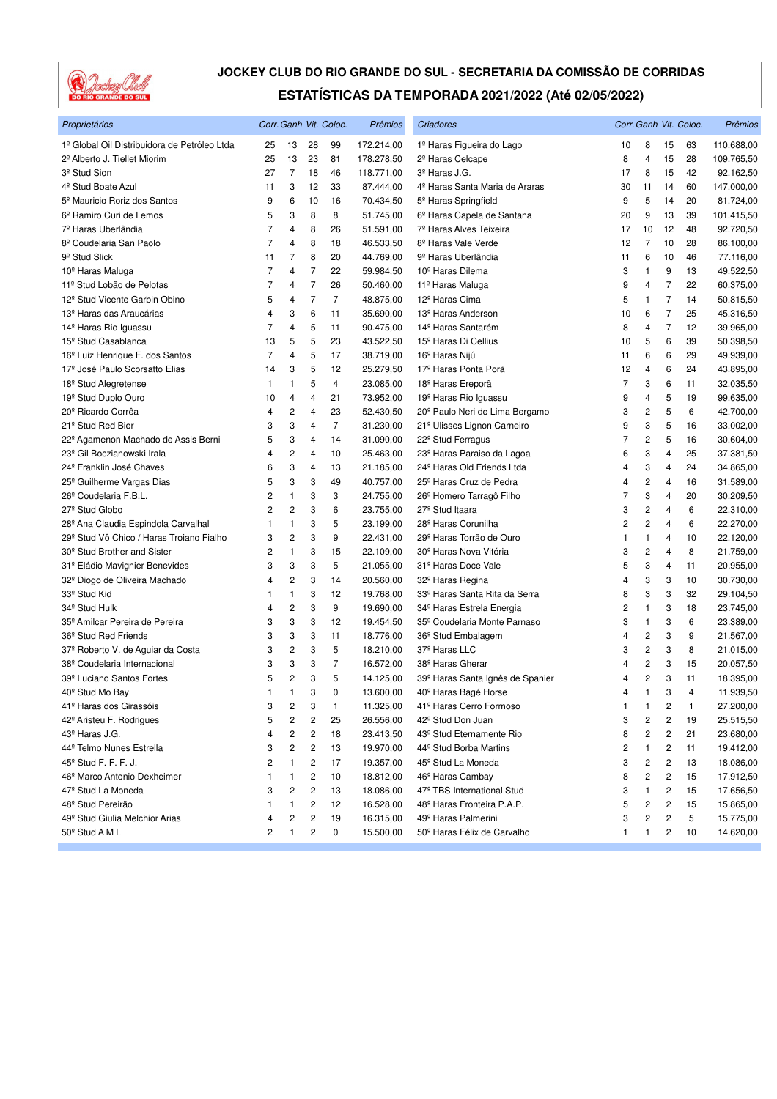

| Proprietários                                |                |                |                | Corr. Ganh Vit. Coloc. | Prêmios    | Criadores                                    |    |                         |                | Corr. Ganh Vit. Coloc. | Prêmios    |
|----------------------------------------------|----------------|----------------|----------------|------------------------|------------|----------------------------------------------|----|-------------------------|----------------|------------------------|------------|
| 1º Global Oil Distribuidora de Petróleo Ltda | 25             | 13             | 28             | 99                     | 172.214,00 | 1º Haras Figueira do Lago                    | 10 | 8                       | 15             | 63                     | 110.688,00 |
| 2º Alberto J. Tiellet Miorim                 | 25             | 13             | 23             | 81                     | 178.278,50 | 2 <sup>º</sup> Haras Celcape                 | 8  | 4                       | 15             | 28                     | 109.765,50 |
| 3 <sup>º</sup> Stud Sion                     | 27             | $\overline{7}$ | 18             | 46                     | 118.771,00 | 3 <sup>º</sup> Haras J.G.                    | 17 | 8                       | 15             | 42                     | 92.162,50  |
| 4 <sup>º</sup> Stud Boate Azul               | 11             | 3              | 12             | 33                     | 87.444,00  | 4º Haras Santa Maria de Araras               | 30 | 11                      | 14             | 60                     | 147.000,00 |
| 5 <sup>º</sup> Mauricio Roriz dos Santos     | 9              | 6              | 10             | 16                     | 70.434,50  | 5 <sup>º</sup> Haras Springfield             | 9  | 5                       | 14             | 20                     | 81.724,00  |
| 6º Ramiro Curi de Lemos                      | 5              | 3              | 8              | 8                      | 51.745,00  | 6 <sup>º</sup> Haras Capela de Santana       | 20 | 9                       | 13             | 39                     | 101.415,50 |
| 7 <sup>º</sup> Haras Uberlândia              | 7              | 4              | 8              | 26                     | 51.591,00  | 7º Haras Alves Teixeira                      | 17 | 10                      | 12             | 48                     | 92.720,50  |
| 8 <sup>º</sup> Coudelaria San Paolo          | $\overline{7}$ | 4              | 8              | 18                     | 46.533,50  | 8º Haras Vale Verde                          | 12 | $\overline{7}$          | 10             | 28                     | 86.100,00  |
| 9 <sup>°</sup> Stud Slick                    | 11             | 7              | 8              | 20                     | 44.769,00  | 9 <sup>º</sup> Haras Uberlândia              | 11 | 6                       | 10             | 46                     | 77.116,00  |
| 10 <sup>°</sup> Haras Maluga                 | 7              | 4              | 7              | 22                     | 59.984,50  | 10 <sup>°</sup> Haras Dilema                 | 3  | 1                       | 9              | 13                     | 49.522,50  |
| 11º Stud Lobão de Pelotas                    | $\overline{7}$ | 4              | 7              | 26                     | 50.460,00  | 11 <sup>º</sup> Haras Maluga                 | 9  | 4                       | $\overline{7}$ | 22                     | 60.375,00  |
| 12 <sup>°</sup> Stud Vicente Garbin Obino    | 5              | 4              | $\overline{7}$ | $\overline{7}$         | 48.875,00  | 12 <sup>º</sup> Haras Cima                   | 5  | 1                       | $\overline{7}$ | 14                     | 50.815,50  |
| 13 <sup>º</sup> Haras das Araucárias         | 4              | 3              | 6              | 11                     | 35.690,00  | 13 <sup>º</sup> Haras Anderson               | 10 | 6                       | 7              | 25                     | 45.316,50  |
| 14 <sup>º</sup> Haras Rio Iguassu            | $\overline{7}$ | 4              | 5              | 11                     | 90.475,00  | 14 <sup>º</sup> Haras Santarém               | 8  | 4                       | 7              | 12                     | 39.965,00  |
| 15 <sup>°</sup> Stud Casablanca              | 13             | 5              | 5              | 23                     | 43.522,50  | 15 <sup>°</sup> Haras Di Cellius             | 10 | 5                       | 6              | 39                     | 50.398,50  |
| 16 <sup>°</sup> Luiz Henrique F. dos Santos  | 7              | 4              | 5              | 17                     | 38.719,00  | 16 <sup>°</sup> Haras Nijú                   | 11 | 6                       | 6              | 29                     | 49.939,00  |
| 17º José Paulo Scorsatto Elias               | 14             | 3              | 5              | 12                     | 25.279,50  | 17º Haras Ponta Porã                         | 12 | 4                       | 6              | 24                     | 43.895,00  |
| 18 <sup>°</sup> Stud Alegretense             | 1              | 1              | 5              | $\overline{4}$         | 23.085,00  | 18 <sup>°</sup> Haras Ereporã                | 7  | 3                       | 6              | 11                     | 32.035,50  |
| 19 <sup>°</sup> Stud Duplo Ouro              | 10             | 4              | 4              | 21                     | 73.952,00  | 19 <sup>º</sup> Haras Rio Iguassu            | 9  | 4                       | 5              | 19                     | 99.635,00  |
| 20 <sup>°</sup> Ricardo Corrêa               | 4              | 2              | 4              | 23                     | 52.430,50  | 20 <sup>°</sup> Paulo Neri de Lima Bergamo   | 3  | 2                       | 5              | 6                      | 42.700,00  |
| 21º Stud Red Bier                            | 3              | 3              | 4              | $\overline{7}$         | 31.230,00  | 21º Ulisses Lignon Carneiro                  | 9  | 3                       | 5              | 16                     | 33.002,00  |
| 22º Agamenon Machado de Assis Berni          | 5              | 3              | 4              | 14                     | 31.090,00  | 22 <sup>°</sup> Stud Ferragus                | 7  | 2                       | 5              | 16                     | 30.604,00  |
| 23 <sup>°</sup> Gil Boczianowski Irala       | 4              | 2              | 4              | 10                     | 25.463,00  | 23º Haras Paraiso da Lagoa                   | 6  | 3                       | 4              | 25                     | 37.381,50  |
| 24 <sup>°</sup> Franklin José Chaves         | 6              | 3              | 4              | 13                     | 21.185,00  | 24 <sup>°</sup> Haras Old Friends Ltda       | 4  | 3                       | 4              | 24                     | 34.865,00  |
| 25 <sup>°</sup> Guilherme Vargas Dias        | 5              | 3              | 3              | 49                     | 40.757,00  | 25 <sup>°</sup> Haras Cruz de Pedra          | 4  | 2                       | 4              | 16                     | 31.589,00  |
| 26 <sup>°</sup> Coudelaria F.B.L.            | 2              | 1              | 3              | 3                      | 24.755,00  | 26 <sup>°</sup> Homero Tarragô Filho         | 7  | 3                       | $\overline{4}$ | 20                     | 30.209,50  |
| 27 <sup>°</sup> Stud Globo                   | 2              | 2              | 3              | 6                      | 23.755,00  | 27 <sup>°</sup> Stud Itaara                  | 3  | 2                       | 4              | 6                      | 22.310,00  |
| 28º Ana Claudia Espindola Carvalhal          | 1              | 1              | 3              | 5                      | 23.199,00  | 28 <sup>°</sup> Haras Corunilha              | 2  | $\overline{\mathbf{c}}$ | 4              | 6                      | 22.270,00  |
| 29º Stud Vô Chico / Haras Troiano Fialho     | 3              | 2              | 3              | 9                      | 22.431,00  | 29º Haras Torrão de Ouro                     | 1  | 1                       | 4              | 10                     | 22.120,00  |
| 30 <sup>°</sup> Stud Brother and Sister      | 2              | 1              | 3              | 15                     | 22.109,00  | 30 <sup>°</sup> Haras Nova Vitória           | 3  | $\overline{\mathbf{c}}$ | 4              | 8                      | 21.759,00  |
| 31º Eládio Mavignier Benevides               | 3              | 3              | 3              | 5                      | 21.055,00  | 31º Haras Doce Vale                          | 5  | 3                       | 4              | 11                     | 20.955,00  |
| 32º Diogo de Oliveira Machado                | 4              | 2              | 3              | 14                     | 20.560,00  | 32º Haras Regina                             | 4  | 3                       | 3              | 10                     | 30.730,00  |
| 33 <sup>°</sup> Stud Kid                     | 1              | 1              | 3              | 12                     | 19.768,00  | 33º Haras Santa Rita da Serra                | 8  | 3                       | 3              | 32                     | 29.104,50  |
| 34 <sup>°</sup> Stud Hulk                    | 4              | 2              | 3              | 9                      | 19.690,00  | 34 <sup>°</sup> Haras Estrela Energia        | 2  | 1                       | 3              | 18                     | 23.745,00  |
| 35 <sup>°</sup> Amilcar Pereira de Pereira   | 3              | 3              | 3              | 12                     | 19.454,50  | 35 <sup>°</sup> Coudelaria Monte Parnaso     | 3  | 1                       | 3              | 6                      | 23.389,00  |
| 36 <sup>°</sup> Stud Red Friends             | 3              | 3              | 3              | 11                     | 18.776,00  | 36 <sup>°</sup> Stud Embalagem               | 4  | $\overline{\mathbf{c}}$ | 3              | 9                      | 21.567,00  |
| 37º Roberto V. de Aguiar da Costa            | 3              | 2              | 3              | 5                      | 18.210,00  | 37º Haras LLC                                | 3  | 2                       | 3              | 8                      | 21.015,00  |
| 38º Coudelaria Internacional                 | 3              | 3              | 3              | $\overline{7}$         | 16.572,00  | 38 <sup>°</sup> Haras Gherar                 | 4  | 2                       | 3              | 15                     | 20.057,50  |
| 39º Luciano Santos Fortes                    | 5              | 2              | 3              | 5                      | 14.125,00  | 39 <sup>º</sup> Haras Santa Ignês de Spanier | 4  | $\mathbf 2$             | 3              | 11                     | 18.395,00  |
| 40 <sup>°</sup> Stud Mo Bay                  | 1              | 1              | 3              | 0                      | 13.600.00  | 40 <sup>°</sup> Haras Bagé Horse             | 4  | $\mathbf{1}$            | 3              | 4                      | 11.939,50  |
| 41º Haras dos Girassóis                      | 3              | 2              | 3              | $\mathbf{1}$           | 11.325,00  | 41º Haras Cerro Formoso                      | 1  | 1                       | 2              | $\mathbf{1}$           | 27.200,00  |
| 42 <sup>°</sup> Aristeu F. Rodrigues         | 5              | 2              | 2              | 25                     | 26.556,00  | 42º Stud Don Juan                            | 3  | 2                       | 2              | 19                     | 25.515,50  |
| 43º Haras J.G.                               | 4              | 2              | 2              | 18                     | 23.413,50  | 43º Stud Eternamente Rio                     | 8  | 2                       | 2              | 21                     | 23.680,00  |
| 44º Telmo Nunes Estrella                     | 3              | 2              | 2              | 13                     | 19.970,00  | 44º Stud Borba Martins                       | 2  | 1                       | 2              | 11                     | 19.412,00  |
| 45 <sup>°</sup> Stud F. F. F. J.             | 2              | 1              | 2              | 17                     | 19.357,00  | 45 <sup>°</sup> Stud La Moneda               | 3  | 2                       | 2              | 13                     | 18.086,00  |
| 46 <sup>°</sup> Marco Antonio Dexheimer      | 1              | 1              | 2              | 10                     | 18.812,00  | 46 <sup>°</sup> Haras Cambay                 | 8  | 2                       | 2              | 15                     | 17.912,50  |
| 47º Stud La Moneda                           | 3              | $\overline{c}$ | 2              | 13                     | 18.086,00  | 47º TBS International Stud                   | 3  | 1                       | 2              | 15                     | 17.656,50  |
| 48 <sup>º</sup> Stud Pereirão                | 1              | 1              | 2              | 12                     | 16.528,00  | 48º Haras Fronteira P.A.P.                   | 5  | 2                       | 2              | 15                     | 15.865,00  |
| 49 <sup>°</sup> Stud Giulia Melchior Arias   | 4              | 2              | 2              | 19                     | 16.315,00  | 49 <sup>º</sup> Haras Palmerini              | 3  | 2                       | 2              | 5                      | 15.775,00  |
| 50 <sup>°</sup> Stud A M L                   | 2              | 1              | 2              | 0                      | 15.500,00  | 50º Haras Félix de Carvalho                  | 1  | 1                       | 2              | 10                     | 14.620,00  |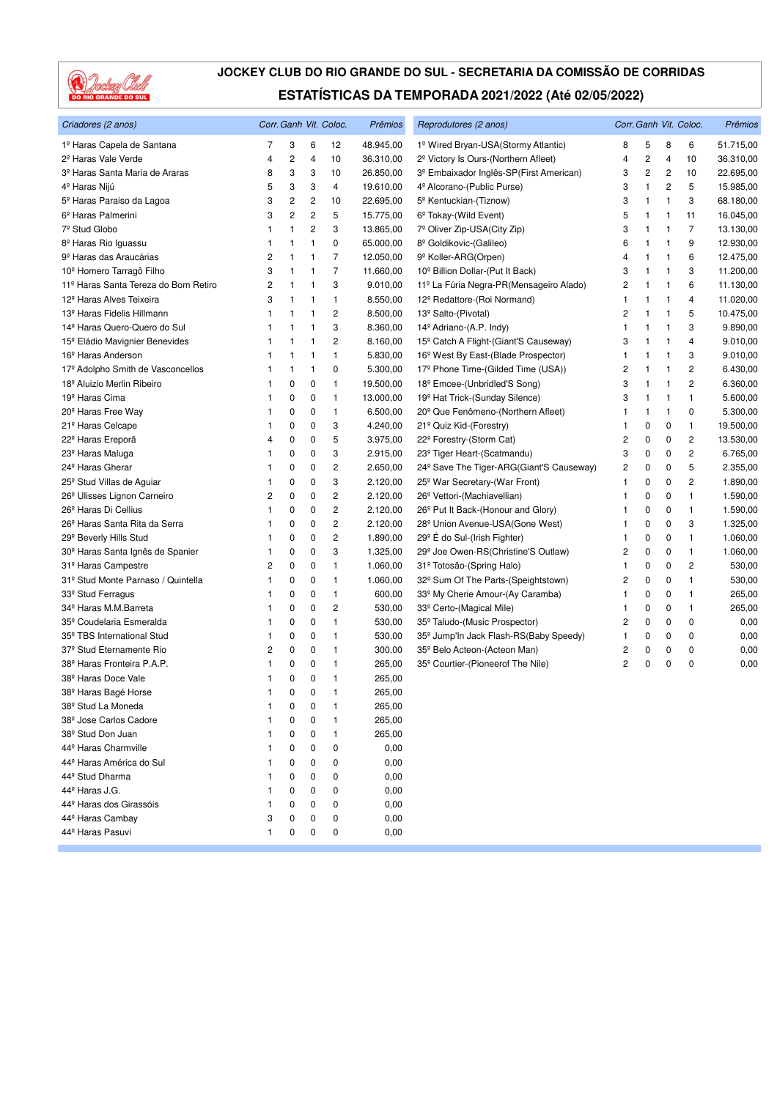

| Criadores (2 anos)                           |   | Corr. Ganh Vit. Coloc.  |                         |                         | Prêmios   | Reprodutores (2 anos)                                |                | Corr. Ganh Vit. Coloc. | Prêmios        |                |           |
|----------------------------------------------|---|-------------------------|-------------------------|-------------------------|-----------|------------------------------------------------------|----------------|------------------------|----------------|----------------|-----------|
| 1º Haras Capela de Santana                   | 7 | 3                       | 6                       | 12                      | 48.945,00 | 1º Wired Bryan-USA (Stormy Atlantic)                 | 8              | 5                      | 8              | 6              | 51.715,00 |
| 2 <sup>º</sup> Haras Vale Verde              | 4 | $\overline{\mathbf{c}}$ | 4                       | 10                      | 36.310,00 | 2 <sup>º</sup> Victory Is Ours-(Northern Afleet)     | 4              | $\overline{c}$         | $\overline{4}$ | 10             | 36.310,00 |
| 3 <sup>º</sup> Haras Santa Maria de Araras   | 8 | 3                       | 3                       | 10                      | 26.850,00 | 3º Embaixador Inglês-SP(First American)              | 3              | 2                      | 2              | 10             | 22.695,00 |
| 4º Haras Nijú                                | 5 | 3                       | 3                       | 4                       | 19.610,00 | 4 <sup>º</sup> Alcorano-(Public Purse)               | 3              | 1                      | 2              | 5              | 15.985,00 |
| 5 <sup>°</sup> Haras Paraiso da Lagoa        | 3 | 2                       | $\overline{\mathbf{c}}$ | 10                      | 22.695,00 | 5 <sup>°</sup> Kentuckian-(Tiznow)                   | 3              | 1                      | 1              | 3              | 68.180,00 |
| 6 <sup>º</sup> Haras Palmerini               | 3 | $\overline{c}$          | $\overline{c}$          | 5                       | 15.775,00 | 6 <sup>°</sup> Tokay-(Wild Event)                    | 5              | 1                      | $\mathbf{1}$   | 11             | 16.045,00 |
| 7 <sup>º</sup> Stud Globo                    | 1 | $\mathbf{1}$            | $\overline{c}$          | 3                       | 13.865,00 | 7º Oliver Zip-USA(City Zip)                          | 3              | 1                      | 1              | $\overline{7}$ | 13.130,00 |
| 8 <sup>º</sup> Haras Rio Iguassu             | 1 | 1                       | 1                       | 0                       | 65.000,00 | 8º Goldikovic-(Galileo)                              | 6              | 1                      | $\mathbf{1}$   | 9              | 12.930,00 |
| 9 <sup>º</sup> Haras das Araucárias          | 2 | 1                       | 1                       | 7                       | 12.050,00 | 9 <sup>º</sup> Koller-ARG(Orpen)                     | 4              | 1                      | 1              | 6              | 12.475,00 |
| 10 <sup>º</sup> Homero Tarragô Filho         | 3 | $\mathbf{1}$            | 1                       | 7                       | 11.660,00 | 10 <sup>°</sup> Billion Dollar-(Put It Back)         | 3              | 1                      | $\mathbf{1}$   | 3              | 11.200,00 |
| 11º Haras Santa Tereza do Bom Retiro         | 2 | $\mathbf{1}$            | 1                       | 3                       | 9.010,00  | 11º La Fúria Negra-PR(Mensageiro Alado)              | $\overline{c}$ | 1                      | 1              | 6              | 11.130,00 |
| 12 <sup>°</sup> Haras Alves Teixeira         | 3 | $\mathbf{1}$            | 1                       | 1                       | 8.550,00  | 12º Redattore-(Roi Normand)                          | 1              | 1                      | 1              | $\overline{4}$ | 11.020,00 |
| 13 <sup>º</sup> Haras Fidelis Hillmann       | 1 | 1                       | $\mathbf{1}$            | 2                       | 8.500,00  | 13º Salto-(Pivotal)                                  | $\overline{c}$ | 1                      | 1              | 5              | 10.475,00 |
| 14 <sup>º</sup> Haras Quero-Quero do Sul     | 1 | 1                       | 1                       | 3                       | 8.360,00  | 14 <sup>º</sup> Adriano-(A.P. Indy)                  | $\mathbf{1}$   | 1                      | -1             | 3              | 9.890,00  |
| 15 <sup>°</sup> Eládio Mavignier Benevides   | 1 | $\mathbf{1}$            | 1                       | 2                       | 8.160,00  | 15 <sup>°</sup> Catch A Flight-(Giant'S Causeway)    | 3              | 1                      | 1              | 4              | 9.010,00  |
| 16 <sup>°</sup> Haras Anderson               | 1 | $\mathbf{1}$            | 1                       | 1                       | 5.830,00  | 16 <sup>°</sup> West By East-(Blade Prospector)      | 1              | 1                      | 1              | 3              | 9.010,00  |
| 17º Adolpho Smith de Vasconcellos            | 1 | $\mathbf{1}$            | $\mathbf{1}$            | 0                       | 5.300,00  | 17º Phone Time-(Gilded Time (USA))                   | $\overline{c}$ | 1                      | 1              | $\overline{c}$ | 6.430,00  |
| 18 <sup>º</sup> Aluizio Merlin Ribeiro       | 1 | 0                       | 0                       | 1                       | 19.500,00 | 18 <sup>°</sup> Emcee-(Unbridled'S Song)             | 3              | 1                      | 1              | $\overline{c}$ | 6.360,00  |
| 19 <sup>º</sup> Haras Cima                   | 1 | 0                       | 0                       | 1                       | 13.000,00 | 19 <sup>°</sup> Hat Trick-(Sunday Silence)           | 3              | 1                      | 1              | $\mathbf{1}$   | 5.600,00  |
| 20 <sup>°</sup> Haras Free Way               | 1 | 0                       | 0                       | 1                       | 6.500,00  | 20 <sup>°</sup> Que Fenômeno-(Northern Afleet)       | 1              | 1                      | 1              | 0              | 5.300,00  |
| 21 <sup>º</sup> Haras Celcape                | ı | 0                       | 0                       | 3                       | 4.240,00  | 21 <sup>°</sup> Quiz Kid-(Forestry)                  | 1              | 0                      | 0              | 1              | 19.500,00 |
| 22 <sup>º</sup> Haras Ereporã                | 4 | 0                       | 0                       | 5                       | 3.975,00  | 22º Forestry-(Storm Cat)                             | 2              | 0                      | 0              | $\overline{c}$ | 13.530,00 |
| 23 <sup>°</sup> Haras Maluga                 | 1 | 0                       | 0                       | 3                       | 2.915,00  | 23 <sup>°</sup> Tiger Heart-(Scatmandu)              | 3              | 0                      | 0              | $\overline{c}$ | 6.765,00  |
| 24 <sup>°</sup> Haras Gherar                 | 1 | 0                       | 0                       | $\overline{\mathbf{c}}$ | 2.650,00  | 24 <sup>°</sup> Save The Tiger-ARG(Giant'S Causeway) | $\overline{c}$ | 0                      | 0              | 5              | 2.355,00  |
| 25 <sup>°</sup> Stud Villas de Aguiar        | 1 | 0                       | 0                       | 3                       | 2.120,00  | 25 <sup>°</sup> War Secretary-(War Front)            | $\mathbf{1}$   | 0                      | 0              | $\overline{c}$ | 1.890,00  |
| 26 <sup>°</sup> Ulisses Lignon Carneiro      | 2 | 0                       | 0                       | $\overline{\mathbf{c}}$ | 2.120,00  | 26 <sup>°</sup> Vettori-(Machiavellian)              | 1              | 0                      | 0              | $\mathbf{1}$   | 1.590,00  |
| 26 <sup>°</sup> Haras Di Cellius             | 1 | 0                       | 0                       | 2                       | 2.120,00  | 26 <sup>°</sup> Put It Back-(Honour and Glory)       | 1              | 0                      | 0              | $\mathbf{1}$   | 1.590,00  |
| 26 <sup>°</sup> Haras Santa Rita da Serra    | 1 | 0                       | 0                       | $\overline{\mathbf{c}}$ | 2.120,00  | 28 <sup>°</sup> Union Avenue-USA (Gone West)         | 1              | 0                      | 0              | 3              | 1.325,00  |
| 29 <sup>°</sup> Beverly Hills Stud           | 1 | 0                       | 0                       | $\overline{\mathbf{c}}$ | 1.890,00  | 29 <sup>°</sup> É do Sul-(Irish Fighter)             | 1              | 0                      | 0              | 1              | 1.060,00  |
| 30 <sup>°</sup> Haras Santa Ignês de Spanier | 1 | 0                       | 0                       | 3                       | 1.325,00  | 29º Joe Owen-RS(Christine'S Outlaw)                  | 2              | 0                      | 0              | $\mathbf{1}$   | 1.060,00  |
| 31º Haras Campestre                          | 2 | 0                       | 0                       | 1                       | 1.060,00  | 31º Totosão-(Spring Halo)                            | 1              | 0                      | 0              | $\overline{c}$ | 530,00    |
| 31º Stud Monte Parnaso / Quintella           | 1 | 0                       | 0                       | 1                       | 1.060,00  | 32 <sup>°</sup> Sum Of The Parts-(Speightstown)      | $\overline{c}$ | 0                      | 0              | $\mathbf{1}$   | 530,00    |
| 33 <sup>°</sup> Stud Ferragus                | 1 | 0                       | 0                       | 1                       | 600,00    | 33º My Cherie Amour-(Ay Caramba)                     | 1              | 0                      | 0              | $\mathbf{1}$   | 265,00    |
| 34 <sup>°</sup> Haras M.M.Barreta            | 1 | 0                       | 0                       | 2                       | 530,00    | 33º Certo-(Magical Mile)                             | 1              | 0                      | 0              | $\mathbf{1}$   | 265,00    |
| 35 <sup>°</sup> Coudelaria Esmeralda         | 1 | 0                       | 0                       | 1                       | 530,00    | 35º Taludo-(Music Prospector)                        | 2              | 0                      | 0              | $\mathbf 0$    | 0,00      |
| 35 <sup>°</sup> TBS International Stud       | 1 | 0                       | 0                       | 1                       | 530,00    | 35 <sup>°</sup> Jump'In Jack Flash-RS(Baby Speedy)   | 1              | 0                      | 0              | $\mathbf 0$    | 0,00      |
| 37 <sup>°</sup> Stud Eternamente Rio         | 2 | 0                       | 0                       | 1                       | 300,00    | 35º Belo Acteon-(Acteon Man)                         | 2              | 0                      | 0              | $\mathbf 0$    | 0,00      |
| 38 <sup>°</sup> Haras Fronteira P.A.P.       | 1 | 0                       | 0                       | 1                       | 265,00    | 35 <sup>°</sup> Courtier-(Pioneerof The Nile)        | 2              | 0                      | 0              | 0              | 0,00      |
| 38 <sup>°</sup> Haras Doce Vale              | 1 | 0                       | 0                       | 1                       | 265,00    |                                                      |                |                        |                |                |           |
| 38 <sup>°</sup> Haras Bagé Horse             | 1 | 0                       | $\mathbf 0$             | 1                       | 265,00    |                                                      |                |                        |                |                |           |
| 38 <sup>°</sup> Stud La Moneda               |   | 0                       | 0                       | 1                       | 265,00    |                                                      |                |                        |                |                |           |
| 38 <sup>°</sup> Jose Carlos Cadore           |   | 0                       | 0                       | 1                       | 265,00    |                                                      |                |                        |                |                |           |
| 38 <sup>°</sup> Stud Don Juan                |   | 0                       | 0                       | 1                       | 265,00    |                                                      |                |                        |                |                |           |
| 44 <sup>°</sup> Haras Charmville             |   | 0                       | 0                       | 0                       | 0,00      |                                                      |                |                        |                |                |           |
| 44º Haras América do Sul                     |   | 0                       | 0                       | 0                       | 0,00      |                                                      |                |                        |                |                |           |
| 44º Stud Dharma                              |   | 0                       | 0                       | 0                       | 0,00      |                                                      |                |                        |                |                |           |
| 44 <sup>°</sup> Haras J.G.                   |   | 0                       | 0                       | 0                       | 0,00      |                                                      |                |                        |                |                |           |
| 44 <sup>°</sup> Haras dos Girassóis          |   | 0                       | 0                       | 0                       | 0,00      |                                                      |                |                        |                |                |           |
| 44 <sup>°</sup> Haras Cambay                 | 3 | 0                       | 0                       | 0                       | 0,00      |                                                      |                |                        |                |                |           |
| 44 <sup>°</sup> Haras Pasuvi                 | 1 | 0                       | 0                       | 0                       | 0,00      |                                                      |                |                        |                |                |           |